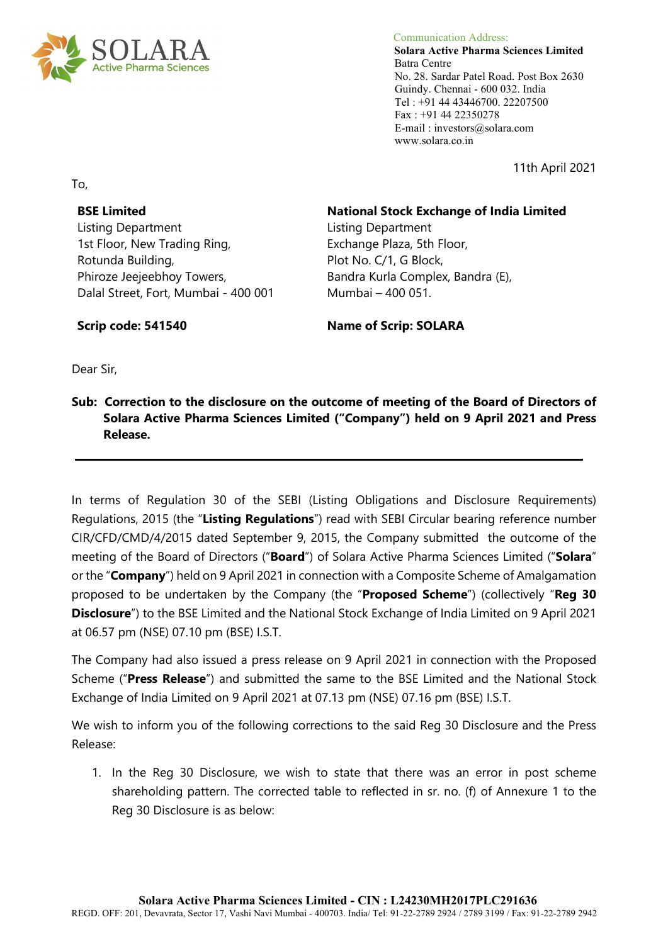

 Communication Address: **Solara Active Pharma Sciences Limited** Batra Centre No. 28. Sardar Patel Road. Post Box 2630 Guindy. Chennai - 600 032. India Tel : +91 44 43446700. 22207500 Fax : +91 44 22350278 E-mail : investors@solara.com www.solara.co.in

11th April 2021

To,

# **BSE Limited**

Listing Department 1st Floor, New Trading Ring, Rotunda Building, Phiroze Jeejeebhoy Towers, Dalal Street, Fort, Mumbai - 400 001

## **National Stock Exchange of India Limited**

Listing Department Exchange Plaza, 5th Floor, Plot No. C/1, G Block, Bandra Kurla Complex, Bandra (E), Mumbai – 400 051.

**Scrip code: 541540** 

**Name of Scrip: SOLARA**

Dear Sir,

# **Sub: Correction to the disclosure on the outcome of meeting of the Board of Directors of Solara Active Pharma Sciences Limited ("Company") held on 9 April 2021 and Press Release.**

In terms of Regulation 30 of the SEBI (Listing Obligations and Disclosure Requirements) Regulations, 2015 (the "**Listing Regulations**") read with SEBI Circular bearing reference number CIR/CFD/CMD/4/2015 dated September 9, 2015, the Company submitted the outcome of the meeting of the Board of Directors ("**Board**") of Solara Active Pharma Sciences Limited ("**Solara**" or the "**Company**") held on 9 April 2021 in connection with a Composite Scheme of Amalgamation proposed to be undertaken by the Company (the "**Proposed Scheme**") (collectively "**Reg 30 Disclosure**") to the BSE Limited and the National Stock Exchange of India Limited on 9 April 2021 at 06.57 pm (NSE) 07.10 pm (BSE) I.S.T.

The Company had also issued a press release on 9 April 2021 in connection with the Proposed Scheme ("**Press Release**") and submitted the same to the BSE Limited and the National Stock Exchange of India Limited on 9 April 2021 at 07.13 pm (NSE) 07.16 pm (BSE) I.S.T.

We wish to inform you of the following corrections to the said Reg 30 Disclosure and the Press Release:

1. In the Reg 30 Disclosure, we wish to state that there was an error in post scheme shareholding pattern. The corrected table to reflected in sr. no. (f) of Annexure 1 to the Reg 30 Disclosure is as below: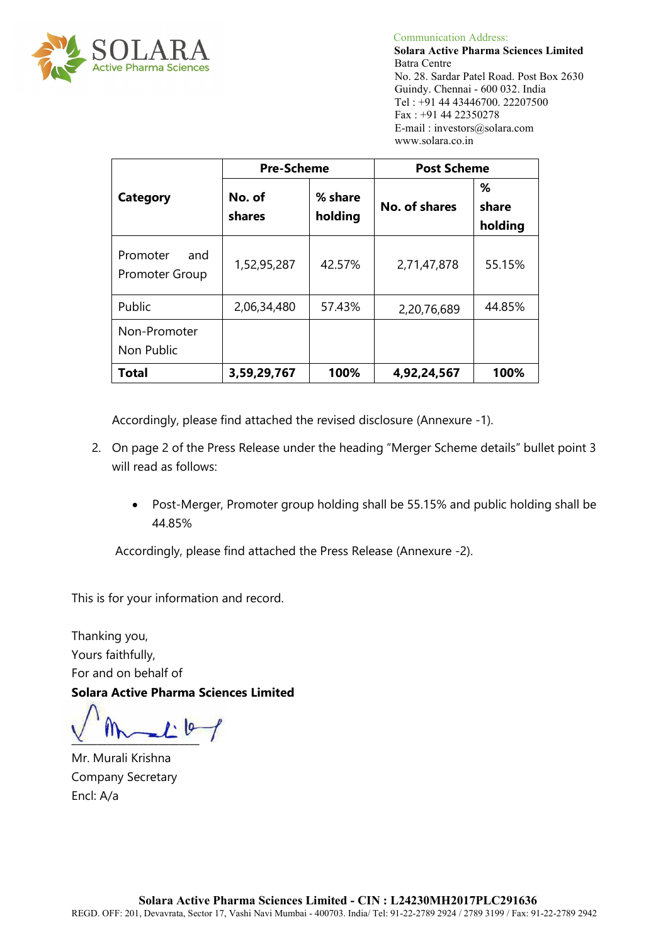

 Communication Address: **Solara Active Pharma Sciences Limited** Batra Centre No. 28. Sardar Patel Road. Post Box 2630 Guindy. Chennai - 600 032. India Tel : +91 44 43446700. 22207500 Fax : +91 44 22350278 E-mail : investors@solara.com www.solara.co.in

|                                   | <b>Pre-Scheme</b> |                    | <b>Post Scheme</b> |                       |  |
|-----------------------------------|-------------------|--------------------|--------------------|-----------------------|--|
| <b>Category</b>                   | No. of<br>shares  | % share<br>holding | No. of shares      | ℅<br>share<br>holding |  |
| Promoter<br>and<br>Promoter Group | 1,52,95,287       | 42.57%             | 2,71,47,878        | 55.15%                |  |
| Public                            | 2,06,34,480       | 57.43%             | 2,20,76,689        | 44.85%                |  |
| Non-Promoter<br>Non Public        |                   |                    |                    |                       |  |
| Total                             | 3,59,29,767       | 100%               | 4,92,24,567        | 100%                  |  |

Accordingly, please find attached the revised disclosure (Annexure -1).

- 2. On page 2 of the Press Release under the heading "Merger Scheme details" bullet point 3 will read as follows:
	- Post-Merger, Promoter group holding shall be 55.15% and public holding shall be 44.85%

Accordingly, please find attached the Press Release (Annexure -2).

This is for your information and record.

Thanking you, Yours faithfully, For and on behalf of **Solara Active Pharma Sciences Limited** 

 $\frac{1}{2}$ 

Mr. Murali Krishna Company Secretary Encl: A/a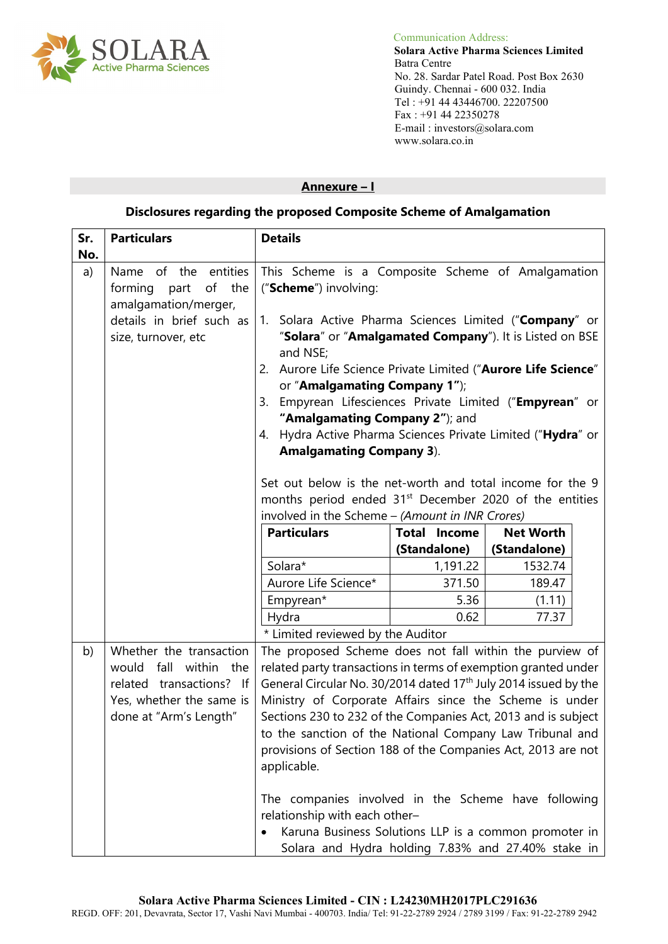

 Communication Address: **Solara Active Pharma Sciences Limited** No. 28. Sardar Patel Road. Post Box 2630 Guindy. Chennai - 600 032. India Tel : +91 44 43446700. 22207500 Fax : +91 44 22350278 E-mail : investors@solara.com www.solara.co.in

#### **Annexure – I**

# **Disclosures regarding the proposed Composite Scheme of Amalgamation**

| Sr. | <b>Particulars</b>                                                                                                                    | <b>Details</b>                                                                                                                                                                                                                                                                                                                                                                                                                                                                                                        |              |                  |  |
|-----|---------------------------------------------------------------------------------------------------------------------------------------|-----------------------------------------------------------------------------------------------------------------------------------------------------------------------------------------------------------------------------------------------------------------------------------------------------------------------------------------------------------------------------------------------------------------------------------------------------------------------------------------------------------------------|--------------|------------------|--|
| No. |                                                                                                                                       |                                                                                                                                                                                                                                                                                                                                                                                                                                                                                                                       |              |                  |  |
| a)  | entities<br>of the<br>Name<br>forming<br>of<br>the<br>part<br>amalgamation/merger,<br>details in brief such as<br>size, turnover, etc | This Scheme is a Composite Scheme of Amalgamation<br>("Scheme") involving:<br>1. Solara Active Pharma Sciences Limited ("Company" or<br>"Solara" or "Amalgamated Company"). It is Listed on BSE<br>and NSE;<br>Aurore Life Science Private Limited ("Aurore Life Science"<br>2.<br>or "Amalgamating Company 1");<br>Empyrean Lifesciences Private Limited ("Empyrean" or<br>3.<br>"Amalgamating Company 2"); and<br>Hydra Active Pharma Sciences Private Limited ("Hydra" or<br>4.<br><b>Amalgamating Company 3).</b> |              |                  |  |
|     |                                                                                                                                       | Set out below is the net-worth and total income for the 9<br>months period ended 31 <sup>st</sup> December 2020 of the entities<br>involved in the Scheme - (Amount in INR Crores)                                                                                                                                                                                                                                                                                                                                    |              |                  |  |
|     |                                                                                                                                       | <b>Particulars</b><br><b>Total Income</b>                                                                                                                                                                                                                                                                                                                                                                                                                                                                             |              | <b>Net Worth</b> |  |
|     |                                                                                                                                       |                                                                                                                                                                                                                                                                                                                                                                                                                                                                                                                       | (Standalone) | (Standalone)     |  |
|     |                                                                                                                                       | Solara*                                                                                                                                                                                                                                                                                                                                                                                                                                                                                                               | 1,191.22     | 1532.74          |  |
|     |                                                                                                                                       | Aurore Life Science*                                                                                                                                                                                                                                                                                                                                                                                                                                                                                                  | 371.50       | 189.47           |  |
|     |                                                                                                                                       | Empyrean*                                                                                                                                                                                                                                                                                                                                                                                                                                                                                                             | 5.36         | (1.11)           |  |
|     |                                                                                                                                       | Hydra                                                                                                                                                                                                                                                                                                                                                                                                                                                                                                                 | 0.62         | 77.37            |  |
|     |                                                                                                                                       | * Limited reviewed by the Auditor                                                                                                                                                                                                                                                                                                                                                                                                                                                                                     |              |                  |  |
| b)  | Whether the transaction<br>would fall within the<br>related transactions? If<br>Yes, whether the same is<br>done at "Arm's Length"    | The proposed Scheme does not fall within the purview of<br>related party transactions in terms of exemption granted under<br>General Circular No. 30/2014 dated 17 <sup>th</sup> July 2014 issued by the<br>Ministry of Corporate Affairs since the Scheme is under<br>Sections 230 to 232 of the Companies Act, 2013 and is subject<br>to the sanction of the National Company Law Tribunal and<br>provisions of Section 188 of the Companies Act, 2013 are not<br>applicable.                                       |              |                  |  |
|     |                                                                                                                                       | The companies involved in the Scheme have following<br>relationship with each other-<br>Karuna Business Solutions LLP is a common promoter in<br>Solara and Hydra holding 7.83% and 27.40% stake in                                                                                                                                                                                                                                                                                                                   |              |                  |  |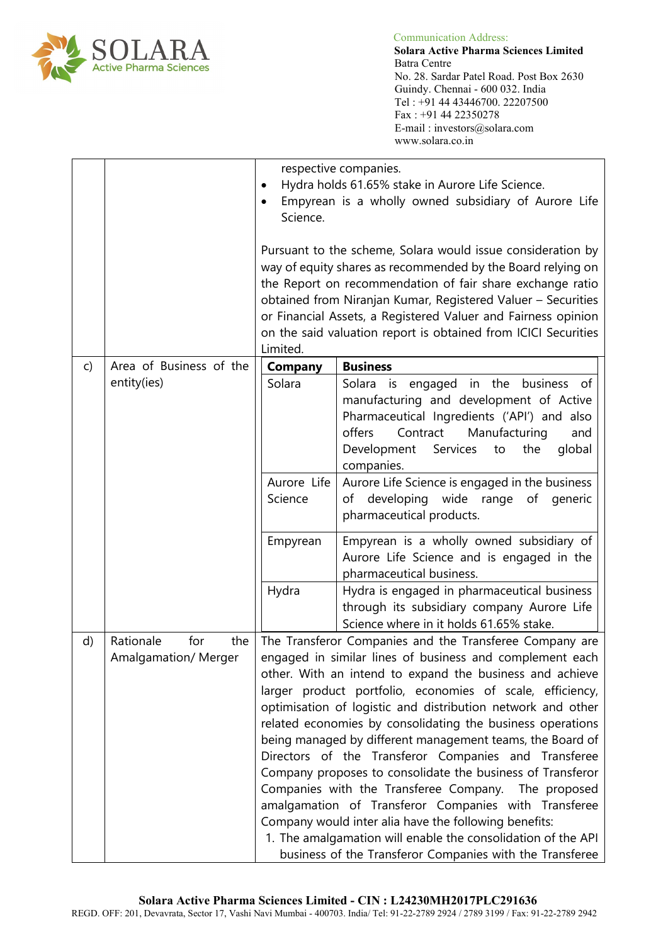

|              |                                                | respective companies.<br>Hydra holds 61.65% stake in Aurore Life Science.<br>Empyrean is a wholly owned subsidiary of Aurore Life<br>$\bullet$<br>Science.<br>Pursuant to the scheme, Solara would issue consideration by<br>way of equity shares as recommended by the Board relying on<br>the Report on recommendation of fair share exchange ratio<br>obtained from Niranjan Kumar, Registered Valuer - Securities<br>or Financial Assets, a Registered Valuer and Fairness opinion<br>on the said valuation report is obtained from ICICI Securities<br>Limited.                                                                                                                                                                                                                                                                                             |                                                                                                                                                                                                                                              |  |
|--------------|------------------------------------------------|------------------------------------------------------------------------------------------------------------------------------------------------------------------------------------------------------------------------------------------------------------------------------------------------------------------------------------------------------------------------------------------------------------------------------------------------------------------------------------------------------------------------------------------------------------------------------------------------------------------------------------------------------------------------------------------------------------------------------------------------------------------------------------------------------------------------------------------------------------------|----------------------------------------------------------------------------------------------------------------------------------------------------------------------------------------------------------------------------------------------|--|
| $\mathsf{C}$ | Area of Business of the                        | <b>Business</b><br><b>Company</b>                                                                                                                                                                                                                                                                                                                                                                                                                                                                                                                                                                                                                                                                                                                                                                                                                                |                                                                                                                                                                                                                                              |  |
|              | entity(ies)                                    | Solara                                                                                                                                                                                                                                                                                                                                                                                                                                                                                                                                                                                                                                                                                                                                                                                                                                                           | Solara is engaged in the business of<br>manufacturing and development of Active<br>Pharmaceutical Ingredients ('API') and also<br>Contract<br>Manufacturing<br>offers<br>and<br>Development<br>Services<br>global<br>to<br>the<br>companies. |  |
|              |                                                | Aurore Life Science is engaged in the business<br>Aurore Life<br>Science<br>of developing wide range of generic<br>pharmaceutical products.                                                                                                                                                                                                                                                                                                                                                                                                                                                                                                                                                                                                                                                                                                                      |                                                                                                                                                                                                                                              |  |
|              |                                                | Empyrean is a wholly owned subsidiary of<br>Empyrean<br>Aurore Life Science and is engaged in the<br>pharmaceutical business.                                                                                                                                                                                                                                                                                                                                                                                                                                                                                                                                                                                                                                                                                                                                    |                                                                                                                                                                                                                                              |  |
|              |                                                | Hydra                                                                                                                                                                                                                                                                                                                                                                                                                                                                                                                                                                                                                                                                                                                                                                                                                                                            | Hydra is engaged in pharmaceutical business<br>through its subsidiary company Aurore Life<br>Science where in it holds 61.65% stake.                                                                                                         |  |
| d)           | Rationale<br>for<br>the<br>Amalgamation/Merger | The Transferor Companies and the Transferee Company are<br>engaged in similar lines of business and complement each<br>other. With an intend to expand the business and achieve<br>larger product portfolio, economies of scale, efficiency,<br>optimisation of logistic and distribution network and other<br>related economies by consolidating the business operations<br>being managed by different management teams, the Board of<br>Directors of the Transferor Companies and Transferee<br>Company proposes to consolidate the business of Transferor<br>Companies with the Transferee Company. The proposed<br>amalgamation of Transferor Companies with Transferee<br>Company would inter alia have the following benefits:<br>1. The amalgamation will enable the consolidation of the API<br>business of the Transferor Companies with the Transferee |                                                                                                                                                                                                                                              |  |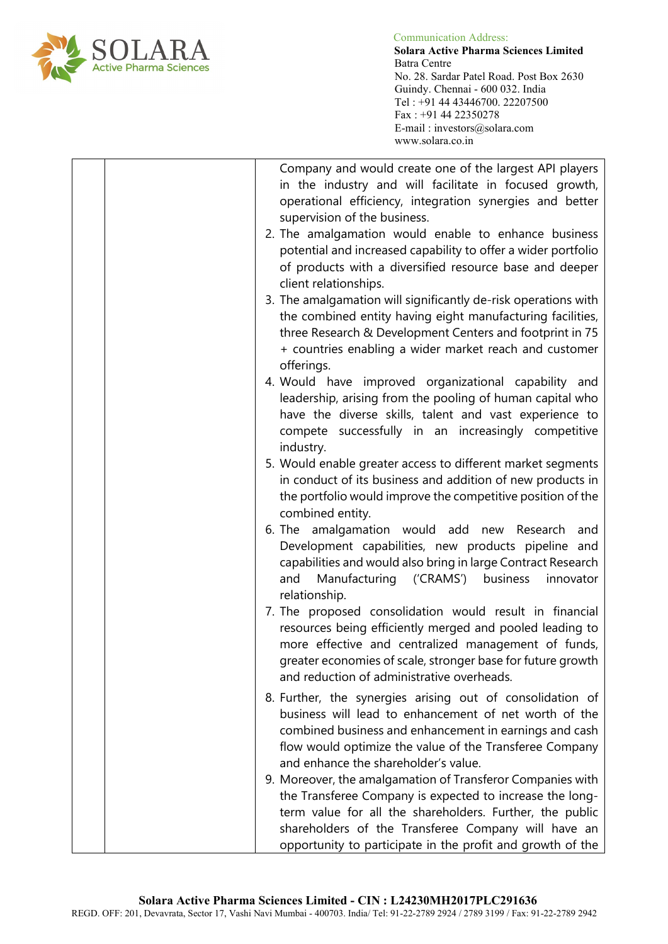

 Communication Address: **Solara Active Pharma Sciences Limited** No. 28. Sardar Patel Road. Post Box 2630 Guindy. Chennai - 600 032. India Tel : +91 44 43446700. 22207500 Fax : +91 44 22350278 E-mail : investors@solara.com www.solara.co.in

| Company and would create one of the largest API players<br>in the industry and will facilitate in focused growth,<br>operational efficiency, integration synergies and better<br>supervision of the business.<br>2. The amalgamation would enable to enhance business<br>potential and increased capability to offer a wider portfolio<br>of products with a diversified resource base and deeper<br>client relationships. |
|----------------------------------------------------------------------------------------------------------------------------------------------------------------------------------------------------------------------------------------------------------------------------------------------------------------------------------------------------------------------------------------------------------------------------|
| 3. The amalgamation will significantly de-risk operations with<br>the combined entity having eight manufacturing facilities,<br>three Research & Development Centers and footprint in 75<br>+ countries enabling a wider market reach and customer<br>offerings.                                                                                                                                                           |
| 4. Would have improved organizational capability and<br>leadership, arising from the pooling of human capital who<br>have the diverse skills, talent and vast experience to<br>compete successfully in an increasingly competitive<br>industry.                                                                                                                                                                            |
| 5. Would enable greater access to different market segments<br>in conduct of its business and addition of new products in<br>the portfolio would improve the competitive position of the<br>combined entity.                                                                                                                                                                                                               |
| amalgamation would add new Research and<br>6. The<br>Development capabilities, new products pipeline and<br>capabilities and would also bring in large Contract Research<br>Manufacturing ('CRAMS')<br>business<br>innovator<br>and<br>relationship.                                                                                                                                                                       |
| 7. The proposed consolidation would result in financial<br>resources being efficiently merged and pooled leading to<br>more effective and centralized management of funds,<br>greater economies of scale, stronger base for future growth<br>and reduction of administrative overheads.                                                                                                                                    |
| 8. Further, the synergies arising out of consolidation of<br>business will lead to enhancement of net worth of the<br>combined business and enhancement in earnings and cash<br>flow would optimize the value of the Transferee Company<br>and enhance the shareholder's value.                                                                                                                                            |
| 9. Moreover, the amalgamation of Transferor Companies with<br>the Transferee Company is expected to increase the long-<br>term value for all the shareholders. Further, the public<br>shareholders of the Transferee Company will have an<br>opportunity to participate in the profit and growth of the                                                                                                                    |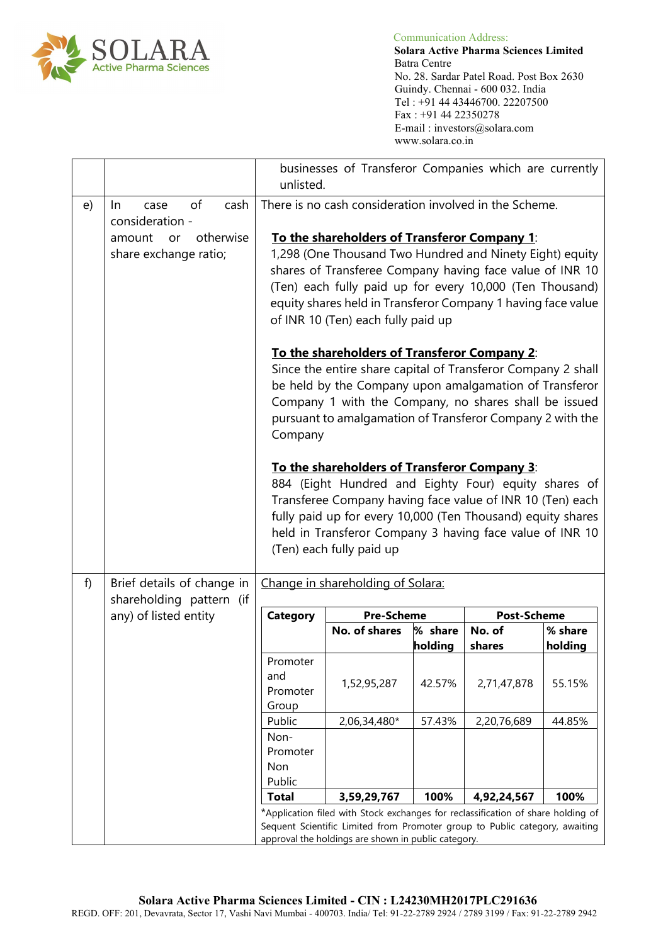

 **Solara Active Pharma Sciences Limited** Batra Centre No. 28. Sardar Patel Road. Post Box 2630 Guindy. Chennai - 600 032. India Tel : +91 44 43446700. 22207500 Fax : +91 44 22350278 E-mail : investors@solara.com www.solara.co.in

|    |                                                                                                                                                                                                                        | businesses of Transferor Companies which are currently<br>unlisted.                                                                                                                                                                                                                                                                    |                                         |                    |                  |                    |
|----|------------------------------------------------------------------------------------------------------------------------------------------------------------------------------------------------------------------------|----------------------------------------------------------------------------------------------------------------------------------------------------------------------------------------------------------------------------------------------------------------------------------------------------------------------------------------|-----------------------------------------|--------------------|------------------|--------------------|
| e) | of<br>cash<br>In.<br>case<br>consideration -                                                                                                                                                                           | There is no cash consideration involved in the Scheme.                                                                                                                                                                                                                                                                                 |                                         |                    |                  |                    |
|    | otherwise<br>amount<br>or<br>share exchange ratio;                                                                                                                                                                     | To the shareholders of Transferor Company 1:<br>1,298 (One Thousand Two Hundred and Ninety Eight) equity<br>shares of Transferee Company having face value of INR 10<br>(Ten) each fully paid up for every 10,000 (Ten Thousand)<br>equity shares held in Transferor Company 1 having face value<br>of INR 10 (Ten) each fully paid up |                                         |                    |                  |                    |
|    |                                                                                                                                                                                                                        | To the shareholders of Transferor Company 2:<br>Since the entire share capital of Transferor Company 2 shall<br>be held by the Company upon amalgamation of Transferor<br>Company 1 with the Company, no shares shall be issued<br>pursuant to amalgamation of Transferor Company 2 with the<br>Company                                |                                         |                    |                  |                    |
|    |                                                                                                                                                                                                                        | To the shareholders of Transferor Company 3:<br>884 (Eight Hundred and Eighty Four) equity shares of<br>Transferee Company having face value of INR 10 (Ten) each<br>fully paid up for every 10,000 (Ten Thousand) equity shares<br>held in Transferor Company 3 having face value of INR 10<br>(Ten) each fully paid up               |                                         |                    |                  |                    |
| f) | Brief details of change in<br>shareholding pattern (if                                                                                                                                                                 |                                                                                                                                                                                                                                                                                                                                        | Change in shareholding of Solara:       |                    |                  |                    |
|    | any) of listed entity                                                                                                                                                                                                  | <b>Category</b>                                                                                                                                                                                                                                                                                                                        | <b>Pre-Scheme</b><br><b>Post-Scheme</b> |                    |                  |                    |
|    |                                                                                                                                                                                                                        |                                                                                                                                                                                                                                                                                                                                        | No. of shares                           | % share<br>holding | No. of<br>shares | % share<br>holding |
|    |                                                                                                                                                                                                                        | Promoter<br>and<br>Promoter<br>Group                                                                                                                                                                                                                                                                                                   | 1,52,95,287                             | 42.57%             | 2,71,47,878      | 55.15%             |
|    |                                                                                                                                                                                                                        | Public                                                                                                                                                                                                                                                                                                                                 | 2,06,34,480*                            | 57.43%             | 2,20,76,689      | 44.85%             |
|    |                                                                                                                                                                                                                        | Non-<br>Promoter<br>Non<br>Public                                                                                                                                                                                                                                                                                                      |                                         |                    |                  |                    |
|    |                                                                                                                                                                                                                        | <b>Total</b>                                                                                                                                                                                                                                                                                                                           | 3,59,29,767                             | 100%               | 4,92,24,567      | 100%               |
|    | *Application filed with Stock exchanges for reclassification of share holding of<br>Sequent Scientific Limited from Promoter group to Public category, awaiting<br>approval the holdings are shown in public category. |                                                                                                                                                                                                                                                                                                                                        |                                         |                    |                  |                    |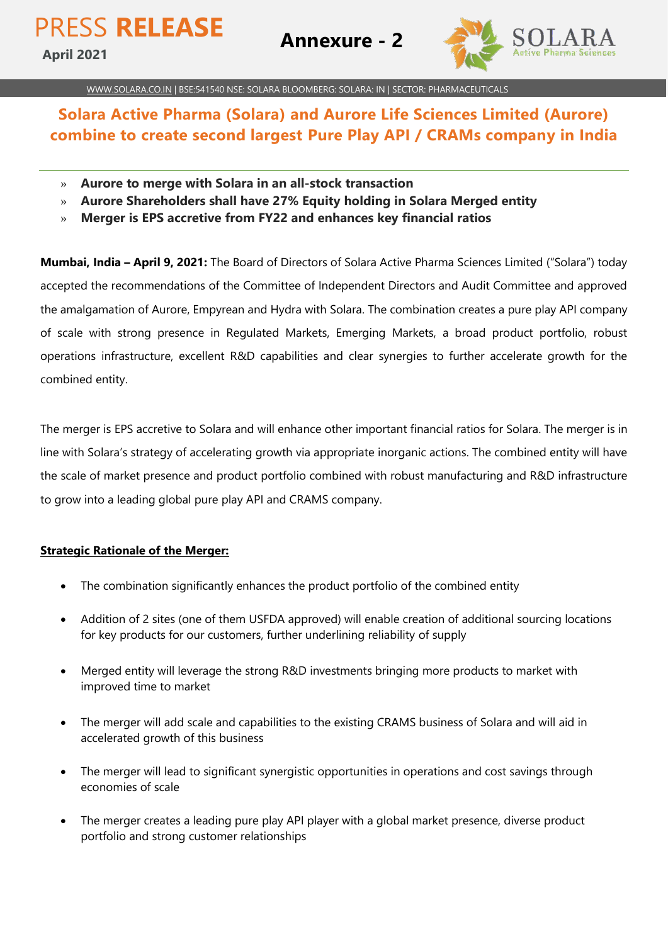

[WWW.SOLARA.CO.IN](http://www.solara.co.in/) | BSE:541540 NSE: SOLARA BLOOMBERG: SOLARA: IN | SECTOR: PHARMACEUTICALS

# **Solara Active Pharma (Solara) and Aurore Life Sciences Limited (Aurore) combine to create second largest Pure Play API / CRAMs company in India**

- » **Aurore to merge with Solara in an all-stock transaction**
- » **Aurore Shareholders shall have 27% Equity holding in Solara Merged entity**
- » **Merger is EPS accretive from FY22 and enhances key financial ratios**

**Mumbai, India – April 9, 2021:** The Board of Directors of Solara Active Pharma Sciences Limited ("Solara") today accepted the recommendations of the Committee of Independent Directors and Audit Committee and approved the amalgamation of Aurore, Empyrean and Hydra with Solara. The combination creates a pure play API company of scale with strong presence in Regulated Markets, Emerging Markets, a broad product portfolio, robust operations infrastructure, excellent R&D capabilities and clear synergies to further accelerate growth for the combined entity.

The merger is EPS accretive to Solara and will enhance other important financial ratios for Solara. The merger is in line with Solara's strategy of accelerating growth via appropriate inorganic actions. The combined entity will have the scale of market presence and product portfolio combined with robust manufacturing and R&D infrastructure to grow into a leading global pure play API and CRAMS company.

#### **Strategic Rationale of the Merger:**

- The combination significantly enhances the product portfolio of the combined entity
- Addition of 2 sites (one of them USFDA approved) will enable creation of additional sourcing locations for key products for our customers, further underlining reliability of supply
- Merged entity will leverage the strong R&D investments bringing more products to market with improved time to market
- The merger will add scale and capabilities to the existing CRAMS business of Solara and will aid in accelerated growth of this business
- The merger will lead to significant synergistic opportunities in operations and cost savings through economies of scale
- The merger creates a leading pure play API player with a global market presence, diverse product portfolio and strong customer relationships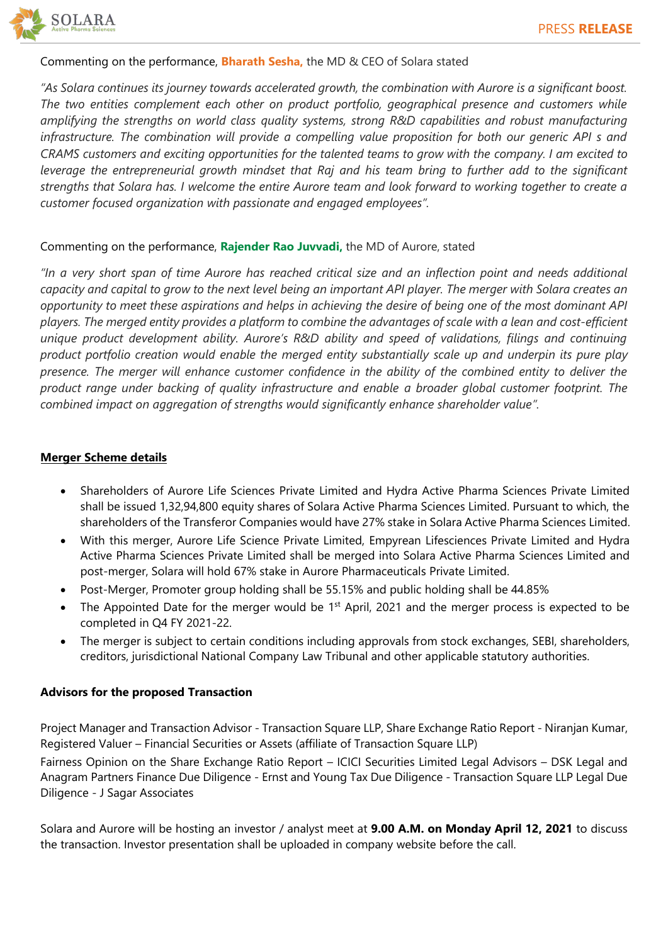

#### Commenting on the performance, **Bharath Sesha,** the MD & CEO of Solara stated

*"As Solara continues its journey towards accelerated growth, the combination with Aurore is a significant boost. The two entities complement each other on product portfolio, geographical presence and customers while amplifying the strengths on world class quality systems, strong R&D capabilities and robust manufacturing infrastructure. The combination will provide a compelling value proposition for both our generic API s and CRAMS customers and exciting opportunities for the talented teams to grow with the company. I am excited to*  leverage the entrepreneurial growth mindset that Raj and his team bring to further add to the significant *strengths that Solara has. I welcome the entire Aurore team and look forward to working together to create a customer focused organization with passionate and engaged employees".*

## Commenting on the performance, **Rajender Rao Juvvadi,** the MD of Aurore, stated

"In a very short span of time Aurore has reached critical size and an inflection point and needs additional *capacity and capital to grow to the next level being an important API player. The merger with Solara creates an opportunity to meet these aspirations and helps in achieving the desire of being one of the most dominant API players. The merged entity provides a platform to combine the advantages of scale with a lean and cost-efficient unique product development ability. Aurore's R&D ability and speed of validations, filings and continuing product portfolio creation would enable the merged entity substantially scale up and underpin its pure play*  presence. The merger will enhance customer confidence in the ability of the combined entity to deliver the *product range under backing of quality infrastructure and enable a broader global customer footprint. The combined impact on aggregation of strengths would significantly enhance shareholder value".*

#### **Merger Scheme details**

- Shareholders of Aurore Life Sciences Private Limited and Hydra Active Pharma Sciences Private Limited shall be issued 1,32,94,800 equity shares of Solara Active Pharma Sciences Limited. Pursuant to which, the shareholders of the Transferor Companies would have 27% stake in Solara Active Pharma Sciences Limited.
- With this merger, Aurore Life Science Private Limited, Empyrean Lifesciences Private Limited and Hydra Active Pharma Sciences Private Limited shall be merged into Solara Active Pharma Sciences Limited and post-merger, Solara will hold 67% stake in Aurore Pharmaceuticals Private Limited.
- Post-Merger, Promoter group holding shall be 55.15% and public holding shall be 44.85%
- The Appointed Date for the merger would be  $1<sup>st</sup>$  April, 2021 and the merger process is expected to be completed in Q4 FY 2021-22.
- The merger is subject to certain conditions including approvals from stock exchanges, SEBI, shareholders, creditors, jurisdictional National Company Law Tribunal and other applicable statutory authorities.

## **Advisors for the proposed Transaction**

Project Manager and Transaction Advisor - Transaction Square LLP, Share Exchange Ratio Report - Niranjan Kumar, Registered Valuer – Financial Securities or Assets (affiliate of Transaction Square LLP)

Fairness Opinion on the Share Exchange Ratio Report – ICICI Securities Limited Legal Advisors – DSK Legal and Anagram Partners Finance Due Diligence - Ernst and Young Tax Due Diligence - Transaction Square LLP Legal Due Diligence - J Sagar Associates

Solara and Aurore will be hosting an investor / analyst meet at **9.00 A.M. on Monday April 12, 2021** to discuss the transaction. Investor presentation shall be uploaded in company website before the call.